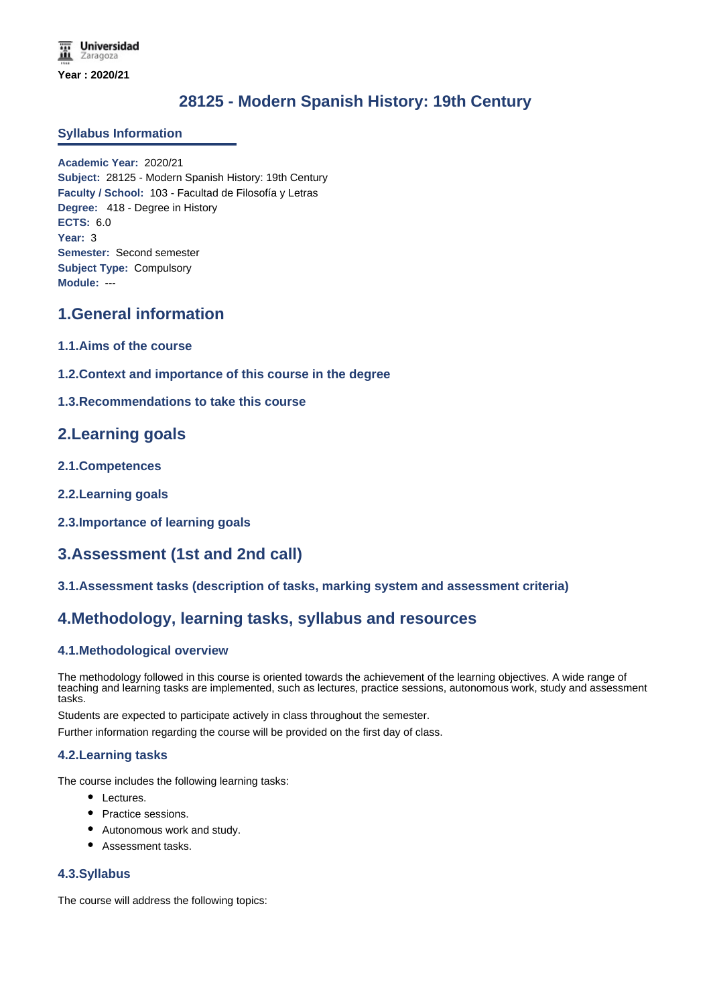# **28125 - Modern Spanish History: 19th Century**

### **Syllabus Information**

**Academic Year:** 2020/21 **Subject:** 28125 - Modern Spanish History: 19th Century **Faculty / School:** 103 - Facultad de Filosofía y Letras **Degree:** 418 - Degree in History **ECTS:** 6.0 **Year:** 3 **Semester:** Second semester **Subject Type:** Compulsory **Module:** ---

## **1.General information**

- **1.1.Aims of the course**
- **1.2.Context and importance of this course in the degree**
- **1.3.Recommendations to take this course**

## **2.Learning goals**

- **2.1.Competences**
- **2.2.Learning goals**
- **2.3.Importance of learning goals**

## **3.Assessment (1st and 2nd call)**

**3.1.Assessment tasks (description of tasks, marking system and assessment criteria)**

## **4.Methodology, learning tasks, syllabus and resources**

### **4.1.Methodological overview**

The methodology followed in this course is oriented towards the achievement of the learning objectives. A wide range of teaching and learning tasks are implemented, such as lectures, practice sessions, autonomous work, study and assessment tasks.

Students are expected to participate actively in class throughout the semester.

Further information regarding the course will be provided on the first day of class.

### **4.2.Learning tasks**

The course includes the following learning tasks:

- Lectures.
- Practice sessions.
- Autonomous work and study.
- Assessment tasks.

#### **4.3.Syllabus**

The course will address the following topics: